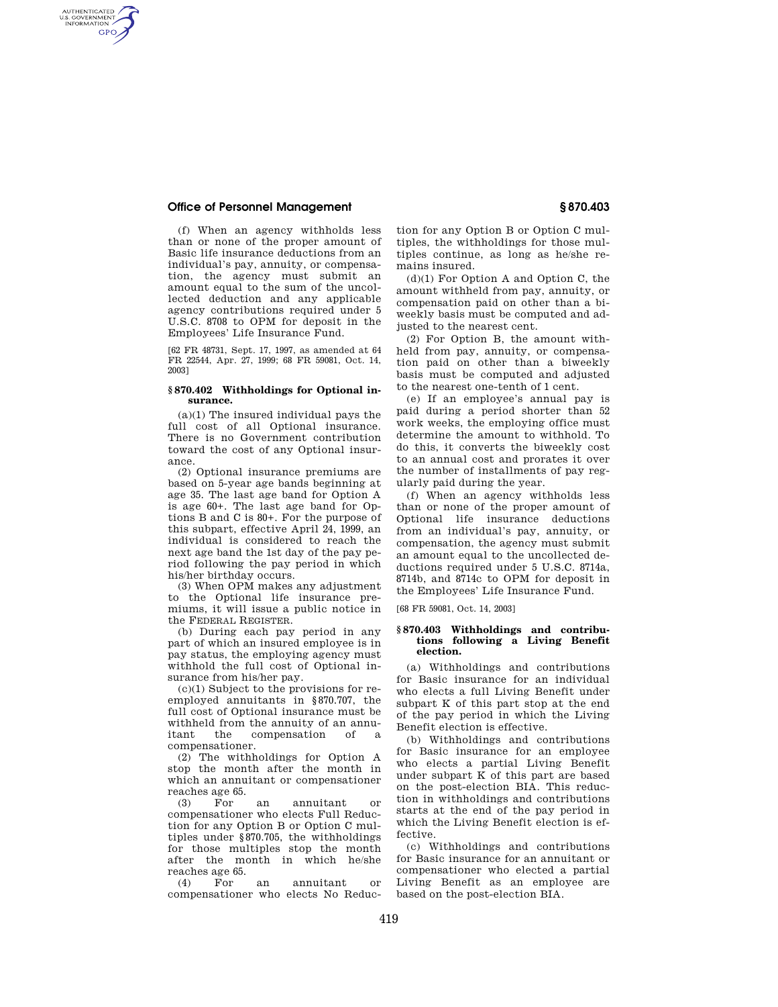# **Office of Personnel Management § 870.403**

AUTHENTICATED<br>U.S. GOVERNMENT<br>INFORMATION **GPO** 

> (f) When an agency withholds less than or none of the proper amount of Basic life insurance deductions from an individual's pay, annuity, or compensation, the agency must submit an amount equal to the sum of the uncollected deduction and any applicable agency contributions required under 5 U.S.C. 8708 to OPM for deposit in the Employees' Life Insurance Fund.

> [62 FR 48731, Sept. 17, 1997, as amended at 64 FR 22544, Apr. 27, 1999; 68 FR 59081, Oct. 14, 2003]

### **§ 870.402 Withholdings for Optional insurance.**

(a)(1) The insured individual pays the full cost of all Optional insurance. There is no Government contribution toward the cost of any Optional insurance.

(2) Optional insurance premiums are based on 5-year age bands beginning at age 35. The last age band for Option A is age 60+. The last age band for Options B and C is 80+. For the purpose of this subpart, effective April 24, 1999, an individual is considered to reach the next age band the 1st day of the pay period following the pay period in which his/her birthday occurs.

(3) When OPM makes any adjustment to the Optional life insurance premiums, it will issue a public notice in the FEDERAL REGISTER.

(b) During each pay period in any part of which an insured employee is in pay status, the employing agency must withhold the full cost of Optional insurance from his/her pay.

(c)(1) Subject to the provisions for reemployed annuitants in §870.707, the full cost of Optional insurance must be withheld from the annuity of an annuitant the compensation of compensationer.

(2) The withholdings for Option A stop the month after the month in which an annuitant or compensationer reaches age 65.

(3) For an annuitant or compensationer who elects Full Reduction for any Option B or Option C multiples under §870.705, the withholdings for those multiples stop the month after the month in which he/she reaches age 65.

 $(4)$  For an annuitant compensationer who elects No Reduction for any Option B or Option C multiples, the withholdings for those multiples continue, as long as he/she remains insured.

(d)(1) For Option A and Option C, the amount withheld from pay, annuity, or compensation paid on other than a biweekly basis must be computed and adjusted to the nearest cent.

(2) For Option B, the amount withheld from pay, annuity, or compensation paid on other than a biweekly basis must be computed and adjusted to the nearest one-tenth of 1 cent.

(e) If an employee's annual pay is paid during a period shorter than 52 work weeks, the employing office must determine the amount to withhold. To do this, it converts the biweekly cost to an annual cost and prorates it over the number of installments of pay regularly paid during the year.

(f) When an agency withholds less than or none of the proper amount of Optional life insurance deductions from an individual's pay, annuity, or compensation, the agency must submit an amount equal to the uncollected deductions required under 5 U.S.C. 8714a, 8714b, and 8714c to OPM for deposit in the Employees' Life Insurance Fund.

[68 FR 59081, Oct. 14, 2003]

### **§ 870.403 Withholdings and contributions following a Living Benefit election.**

(a) Withholdings and contributions for Basic insurance for an individual who elects a full Living Benefit under subpart K of this part stop at the end of the pay period in which the Living Benefit election is effective.

(b) Withholdings and contributions for Basic insurance for an employee who elects a partial Living Benefit under subpart  $\bar{K}$  of this part are based on the post-election BIA. This reduction in withholdings and contributions starts at the end of the pay period in which the Living Benefit election is effective.

(c) Withholdings and contributions for Basic insurance for an annuitant or compensationer who elected a partial Living Benefit as an employee are based on the post-election BIA.